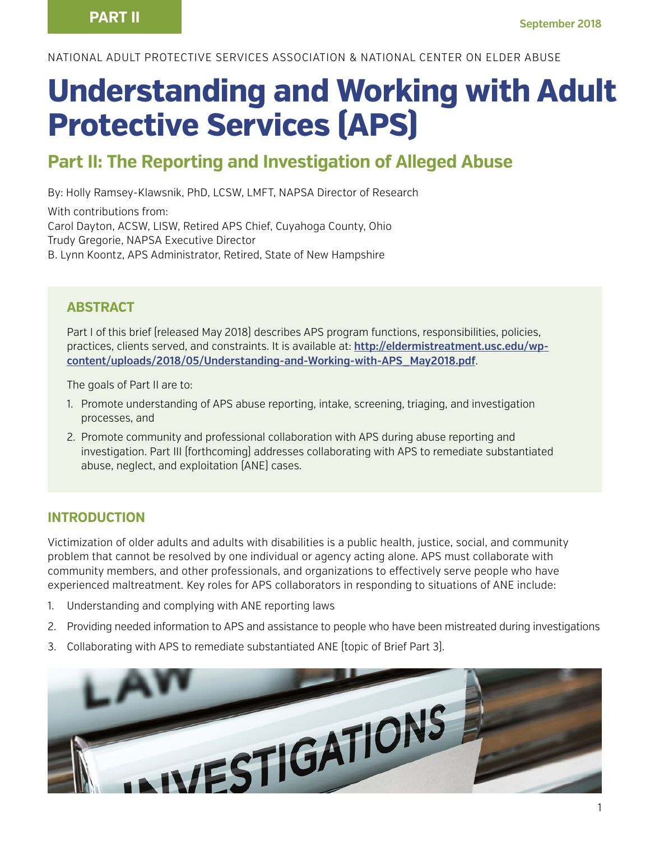NATIONAL ADULT PROTECTIVE SERVICES ASSOCIATION & NATIONAL CENTER ON ELDER ABUSE

# **Understanding and Working with Adult Protective Services (APS)**

# **Part II: The Reporting and Investigation of Alleged Abuse**

By: Holly Ramsey-Klawsnik, PhD, LCSW, LMFT, NAPSA Director of Research

With contributions from: Carol Dayton, ACSW, LISW, Retired APS Chief, Cuyahoga County, Ohio Trudy Gregorie, NAPSA Executive Director B. Lynn Koontz, APS Administrator, Retired, State of New Hampshire

#### **ABSTRACT**

Part I of this brief (released May 2018) describes APS program functions, responsibilities, policies, practices, clients served, and constraints. It is available at: **http://eldermistreatment.usc.edu/wpcontent/uploads/2018/05/Understanding-and-Working-with-APS\_May2018.pdf**.

The goals of Part II are to:

- 1. Promote understanding of APS abuse reporting, intake, screening, triaging, and investigation processes, and
- 2. Promote community and professional collaboration with APS during abuse reporting and investigation. Part III (forthcoming) addresses collaborating with APS to remediate substantiated abuse, neglect, and exploitation (ANE) cases.

#### **INTRODUCTION**

Victimization of older adults and adults with disabilities is a public health, justice, social, and community problem that cannot be resolved by one individual or agency acting alone. APS must collaborate with community members, and other professionals, and organizations to effectively serve people who have experienced maltreatment. Key roles for APS collaborators in responding to situations of ANE include:

- 1. Understanding and complying with ANE reporting laws
- 2. Providing needed information to APS and assistance to people who have been mistreated during investigations
- 3. Collaborating with APS to remediate substantiated ANE (topic of Brief Part 3).

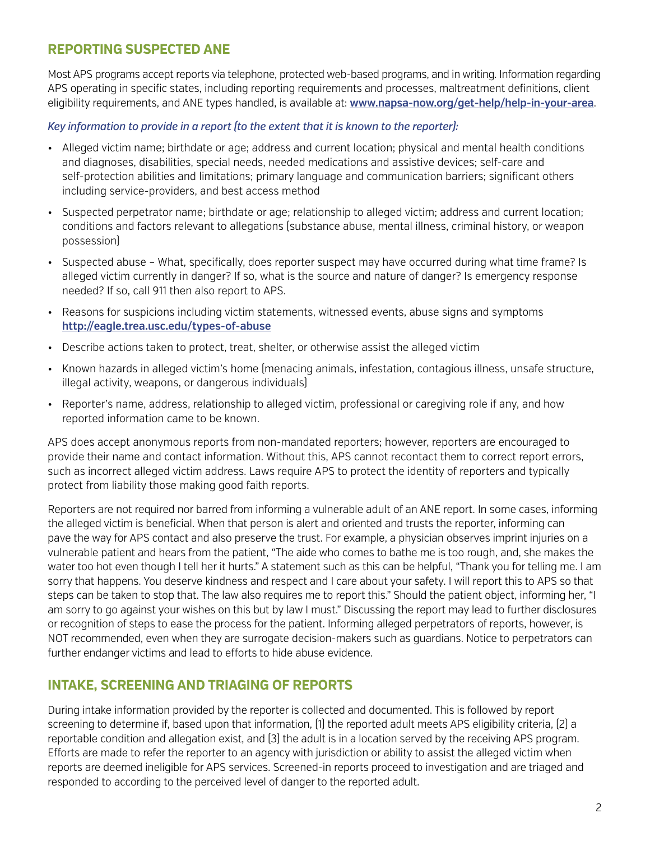## **REPORTING SUSPECTED ANE**

Most APS programs accept reports via telephone, protected web-based programs, and in writing. Information regarding APS operating in specific states, including reporting requirements and processes, maltreatment definitions, client eligibility requirements, and ANE types handled, is available at: **www.napsa-now.org/get-help/help-in-your-area**.

#### *Key information to provide in a report (to the extent that it is known to the reporter):*

- Alleged victim name; birthdate or age; address and current location; physical and mental health conditions and diagnoses, disabilities, special needs, needed medications and assistive devices; self-care and self-protection abilities and limitations; primary language and communication barriers; significant others including service-providers, and best access method
- Suspected perpetrator name; birthdate or age; relationship to alleged victim; address and current location; conditions and factors relevant to allegations (substance abuse, mental illness, criminal history, or weapon possession)
- Suspected abuse What, specifically, does reporter suspect may have occurred during what time frame? Is alleged victim currently in danger? If so, what is the source and nature of danger? Is emergency response needed? If so, call 911 then also report to APS.
- Reasons for suspicions including victim statements, witnessed events, abuse signs and symptoms **http://eagle.trea.usc.edu/types-of-abuse**
- Describe actions taken to protect, treat, shelter, or otherwise assist the alleged victim
- Known hazards in alleged victim's home (menacing animals, infestation, contagious illness, unsafe structure, illegal activity, weapons, or dangerous individuals)
- Reporter's name, address, relationship to alleged victim, professional or caregiving role if any, and how reported information came to be known.

APS does accept anonymous reports from non-mandated reporters; however, reporters are encouraged to provide their name and contact information. Without this, APS cannot recontact them to correct report errors, such as incorrect alleged victim address. Laws require APS to protect the identity of reporters and typically protect from liability those making good faith reports.

Reporters are not required nor barred from informing a vulnerable adult of an ANE report. In some cases, informing the alleged victim is beneficial. When that person is alert and oriented and trusts the reporter, informing can pave the way for APS contact and also preserve the trust. For example, a physician observes imprint injuries on a vulnerable patient and hears from the patient, "The aide who comes to bathe me is too rough, and, she makes the water too hot even though I tell her it hurts." A statement such as this can be helpful, "Thank you for telling me. I am sorry that happens. You deserve kindness and respect and I care about your safety. I will report this to APS so that steps can be taken to stop that. The law also requires me to report this." Should the patient object, informing her, "I am sorry to go against your wishes on this but by law I must." Discussing the report may lead to further disclosures or recognition of steps to ease the process for the patient. Informing alleged perpetrators of reports, however, is NOT recommended, even when they are surrogate decision-makers such as guardians. Notice to perpetrators can further endanger victims and lead to efforts to hide abuse evidence.

#### **INTAKE, SCREENING AND TRIAGING OF REPORTS**

During intake information provided by the reporter is collected and documented. This is followed by report screening to determine if, based upon that information, (1) the reported adult meets APS eligibility criteria, (2) a reportable condition and allegation exist, and (3) the adult is in a location served by the receiving APS program. Efforts are made to refer the reporter to an agency with jurisdiction or ability to assist the alleged victim when reports are deemed ineligible for APS services. Screened-in reports proceed to investigation and are triaged and responded to according to the perceived level of danger to the reported adult.